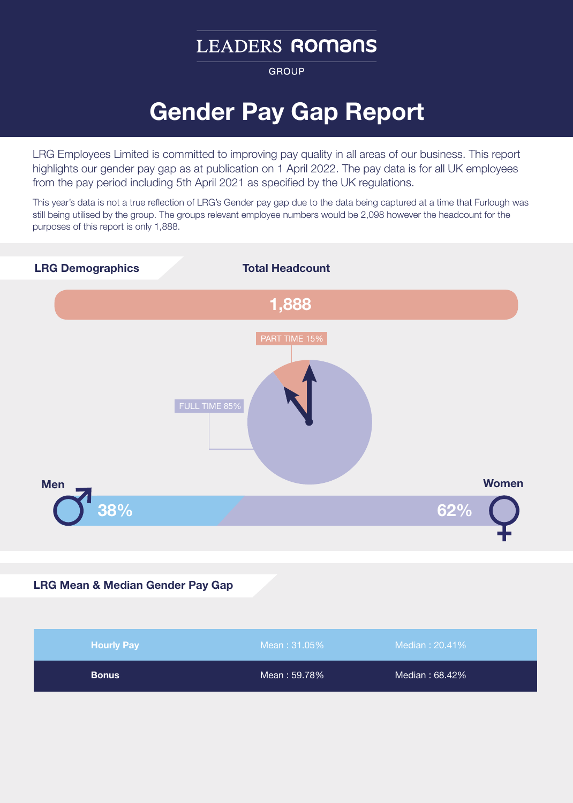# **LEADERS ROMANS**

**GROUP** 

# Gender Pay Gap Report

LRG Employees Limited is committed to improving pay quality in all areas of our business. This report highlights our gender pay gap as at publication on 1 April 2022. The pay data is for all UK employees from the pay period including 5th April 2021 as specified by the UK regulations.

This year's data is not a true reflection of LRG's Gender pay gap due to the data being captured at a time that Furlough was still being utilised by the group. The groups relevant employee numbers would be 2,098 however the headcount for the purposes of this report is only 1,888.



#### LRG Mean & Median Gender Pay Gap

| <b>Hourly Pay</b> | Mean: 31.05% | Median: 20.41% |  |
|-------------------|--------------|----------------|--|
| <b>Bonus</b>      | Mean: 59.78% | Median: 68.42% |  |